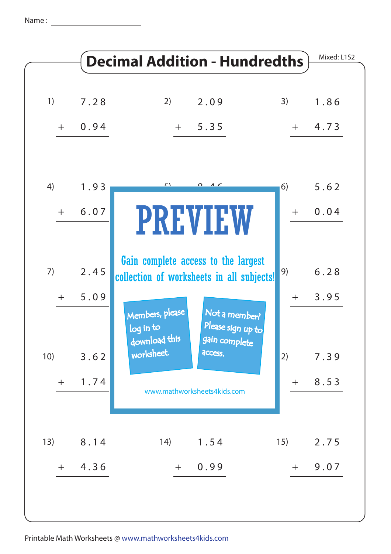